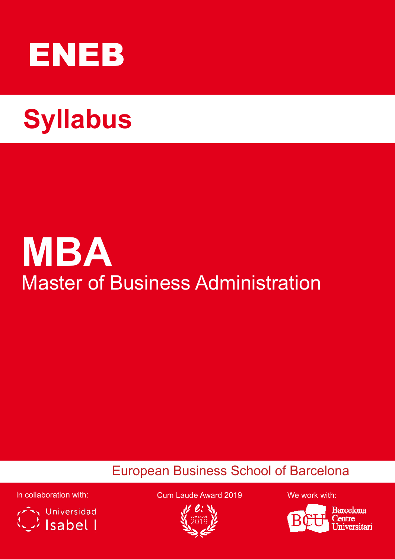

# **Syllabus Syllabus**

# **MBA** Master of Business Administration

# European Business School of Barcelona



In collaboration with: Cum Laude Award 2019 We work with:





**Barcelona** entre versitari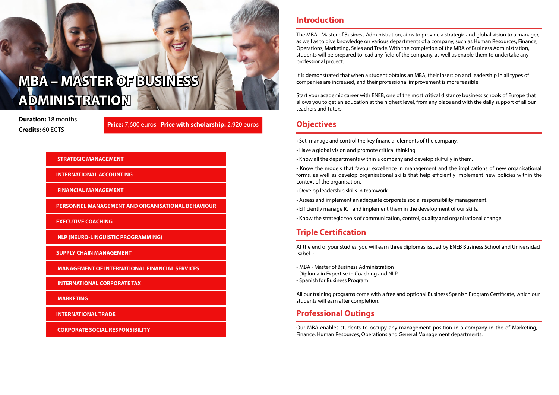**Duration:** 18 months **Credits:** 60 ECTS

# **MBA – MASTER OF BUSINESS ADMINISTRATION**

### **STRATEGIC MANAGEMENT**

 **INTERNATIONAL ACCOUNTING**

 **FINANCIAL MANAGEMENT**

 **PERSONNEL MANAGEMENT AND ORGANISATIONAL BEHAVIOUR**

 **EXECUTIVE COACHING**

 **NLP (NEURO-LINGUISTIC PROGRAMMING)**

 **SUPPLY CHAIN MANAGEMENT**

 **MANAGEMENT OF INTERNATIONAL FINANCIAL SERVICES**

 **INTERNATIONAL CORPORATE TAX**

 **MARKETING**

 **INTERNATIONAL TRADE** 

 **CORPORATE SOCIAL RESPONSIBILITY**

### **Introduction**

The MBA - Master of Business Administration, aims to provide a strategic and global vision to a manager, as well as to give knowledge on various departments of a company, such as Human Resources, Finance, Operations, Marketing, Sales and Trade. With the completion of the MBA of Business Administration, students will be prepared to lead any field of the company, as well as enable them to undertake any professional project.

It is demonstrated that when a student obtains an MBA, their insertion and leadership in all types of companies are increased, and their professional improvement is more feasible.

Start your academic career with ENEB; one of the most critical distance business schools of Europe that allows you to get an education at the highest level, from any place and with the daily support of all our teachers and tutors.

## **Objectives**

- Set, manage and control the key financial elements of the company.
- Have a global vision and promote critical thinking.
- Know all the departments within a company and develop skilfully in them.
- Know the models that favour excellence in management and the implications of new organisational forms, as well as develop organisational skills that help efficiently implement new policies within the context of the organisation.
- Develop leadership skills in teamwork.
- Assess and implement an adequate corporate social responsibility management.
- Efficiently manage ICT and implement them in the development of our skills.
- Know the strategic tools of communication, control, quality and organisational change.

## **Professional Outings**

Our MBA enables students to occupy any management position in a company in the of Marketing, Finance, Human Resources, Operations and General Management departments.

## **Triple Certification**

At the end of your studies, you will earn three diplomas issued by ENEB Business School and Universidad Isabel I:

- MBA Master of Business Administration
- Diploma in Expertise in Coaching and NLP
- Spanish for Business Program

All our training programs come with a free and optional Business Spanish Program Certificate, which our students will earn after completion.

**Price:** 7,600 euros **Price with scholarship:** 2,920 euros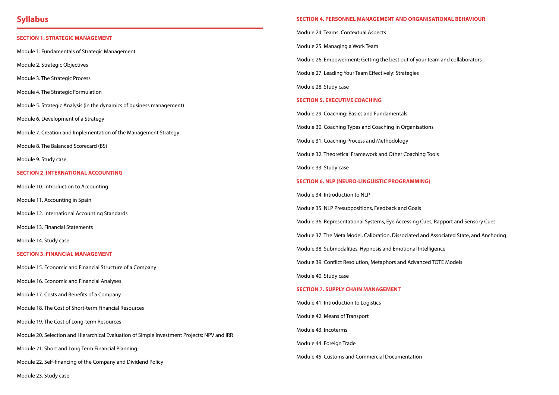## **Syllabus**

#### **SECTION 1. STRATEGIC MANAGEMENT**

Module 1. Fundamentals of Strategic Management

Module 2. Strategic Objectives

- Module 3. The Strategic Process
- Module 4. The Strategic Formulation

Module 5. Strategic Analysis (in the dynamics of business management)

Module 6. Development of a Strategy

Module 7. Creation and Implementation of the Management Strategy

Module 8. The Balanced Scorecard (BS)

Module 9. Study case

### **SECTION 2. INTERNATIONAL ACCOUNTING**

Module 10. Introduction to Accounting

Module 11. Accounting in Spain

Module 12. International Accounting Standards

Module 13. Financial Statements

Module 14. Study case

#### **SECTION 3. FINANCIAL MANAGEMENT**

Module 15. Economic and Financial Structure of a Company

Module 16. Economic and Financial Analyses

Module 17. Costs and Benefits of a Company

Module 18. The Cost of Short-term Financial Resources

Module 19. The Cost of Long-term Resources

Module 20. Selection and Hierarchical Evaluation of Simple Investment Projects: NPV and IRR

Module 21. Short and Long Term Financial Planning

Module 22. Self-financing of the Company and Dividend Policy

Module 23. Study case

### **SECTION 4. PERSONNEL MANAGEMENT AND ORGANISATIONAL BEHAVIOUR**

Module 24. Teams: Contextual Aspects

Module 25. Managing a Work Team

Module 26. Empowerment: Getting the best out of your team and collaborators

Module 27. Leading Your Team Effectively: Strategies

Module 28. Study case

### **SECTION 5. EXECUTIVE COACHING**

Module 29. Coaching: Basics and Fundamentals Module 30. Coaching Types and Coaching in Organisations Module 31. Coaching Process and Methodology Module 32. Theoretical Framework and Other Coaching Tools Module 33. Study case **SECTION 6. NLP (NEURO-LINGUISTIC PROGRAMMING)** Module 34. Introduction to NLP Module 35. NLP Presuppositions, Feedback and Goals Module 36. Representational Systems, Eye Accessing Cues, Rapport and Sensory Cues Module 37. The Meta Model, Calibration, Dissociated and Associated State, and Anchoring Module 38. Submodalities, Hypnosis and Emotional Intelligence Module 39. Conflict Resolution, Metaphors and Advanced TOTE Models Module 40. Study case

#### **SECTION 7. SUPPLY CHAIN MANAGEMENT**

Module 41. Introduction to Logistics

Module 42. Means of Transport

Module 43. Incoterms

Module 44. Foreign Trade

Module 45. Customs and Commercial Documentation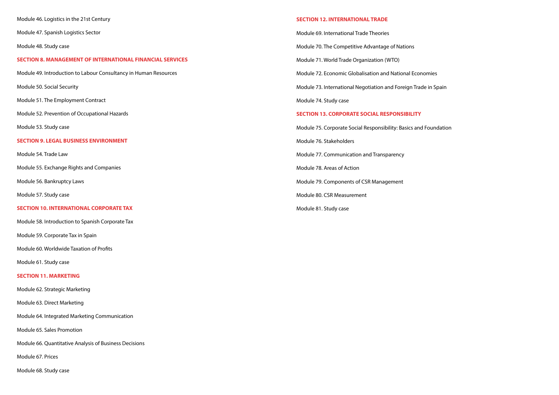#### **SECTION 12. INTERNATIONAL TRADE**

Module 69. International Trade Theories

Module 70. The Competitive Advantage of Nations

Module 71. World Trade Organization (WTO)

Module 72. Economic Globalisation and National Economies

Module 73. International Negotiation and Foreign Trade in Spain

Module 74. Study case

#### **SECTION 13. CORPORATE SOCIAL RESPONSIBILITY**

Module 75. Corporate Social Responsibility: Basics and Foundation

Module 76. Stakeholders

Module 77. Communication and Transparency

Module 78. Areas of Action

Module 79. Components of CSR Management

Module 80. CSR Measurement

Module 81. Study case

Module 46. Logistics in the 21st Century

Module 47. Spanish Logistics Sector

Module 48. Study case

#### **SECTION 8. MANAGEMENT OF INTERNATIONAL FINANCIAL SERVICES**

Module 49. Introduction to Labour Consultancy in Human Resources

Module 50. Social Security

Module 51. The Employment Contract

Module 52. Prevention of Occupational Hazards

Module 53. Study case

#### **SECTION 9. LEGAL BUSINESS ENVIRONMENT**

Module 54. Trade Law

Module 55. Exchange Rights and Companies

Module 56. Bankruptcy Laws

Module 57. Study case

#### **SECTION 10. INTERNATIONAL CORPORATE TAX**

Module 58. Introduction to Spanish Corporate Tax

Module 59. Corporate Tax in Spain

Module 60. Worldwide Taxation of Profits

Module 61. Study case

#### **SECTION 11. MARKETING**

Module 62. Strategic Marketing

Module 63. Direct Marketing

Module 64. Integrated Marketing Communication

Module 65. Sales Promotion

Module 66. Quantitative Analysis of Business Decisions

Module 67. Prices

Module 68. Study case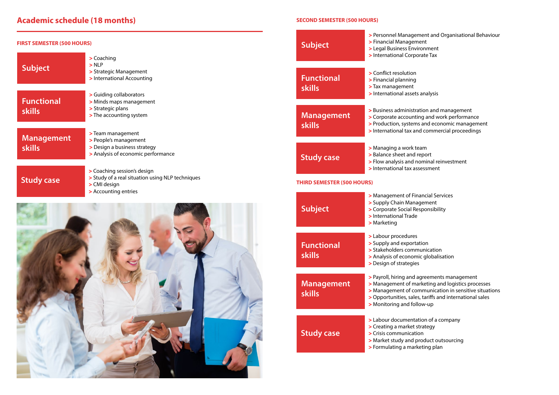# **Academic schedule (18 months)**

**Exagement Control** Services **>** Supply Chain Management **>** Corporate Social Responsibility

 $\mathop{\text{tion}}$ **nunication** *<u>ic</u>* globalisation

**payroller** and agreement **Exaggedisch management or Managen in the thrace of the management of the management of the management of the management of management of management of management of management and a management of management of management >** Management of communication in sensitive situations , tariffs and international sales **>** Monitoring and follow-up

**Solute:** Lion of a company **>** Creating a market strategy  $\mathsf{roduct}\ \mathsf{outsourcing}$ **Philating plan** 

**Philt Management and Organisational Behaviour ent**  ${\small \textsf{moment}}$ **>** International Corporate Tax

 $\mathsf{s}$  analysis

**Francise and management pand work performance**  $\overline{\mathbf{a}}$  and economic management **A** d commercial proceedings

**>** Managing a work team **Propert Phinal reinvestment**  $s$  essment

| <b>FIRST SEMESTER (500 HOURS)</b>  |                                                                                                                         | <b>Subject</b>                                                                         | > Personnel Manageme<br>> Financial Managemer<br>> Legal Business Enviro                                                          |
|------------------------------------|-------------------------------------------------------------------------------------------------------------------------|----------------------------------------------------------------------------------------|-----------------------------------------------------------------------------------------------------------------------------------|
| <b>Subject</b>                     | > Coaching<br>$>$ NLP<br>> Strategic Management<br>> International Accounting                                           | <b>Functional</b>                                                                      | > International Corpora<br>> Conflict resolution<br>> Financial planning                                                          |
| <b>Functional</b><br><b>skills</b> | > Guiding collaborators<br>> Minds maps management<br>> Strategic plans<br>> The accounting system                      | <b>skills</b><br><b>Management</b>                                                     | > Tax management<br>> International assets a<br>> Business administration<br>> Corporate accounting<br>> Production, systems a    |
| <b>Management</b><br><b>skills</b> | > Team management<br>> People's management<br>> Design a business strategy<br>> Analysis of economic performance        | <b>skills</b><br><b>Study case</b>                                                     | > International tax and<br>> Managing a work tear<br>> Balance sheet and rep<br>> Flow analysis and nor                           |
| <b>Study case</b>                  | > Coaching session's design<br>> Study of a real situation using NLP techniques<br>> CMI design<br>> Accounting entries | > International tax asse<br><b>THIRD SEMESTER (500 HOURS)</b><br>> Management of Finar |                                                                                                                                   |
|                                    |                                                                                                                         | <b>Subject</b>                                                                         | > Supply Chain Manage<br>> Corporate Social Resp<br>> International Trade<br>> Marketing                                          |
|                                    |                                                                                                                         | <b>Functional</b><br><b>skills</b>                                                     | > Labour procedures<br>> Supply and exportation<br>> Stakeholders commu<br>> Analysis of economic<br>> Design of strategies       |
|                                    |                                                                                                                         | Management<br><b>skills</b>                                                            | > Payroll, hiring and agi<br>> Management of mark<br>> Management of comi<br>> Opportunities, sales, t<br>> Monitoring and follow |
|                                    |                                                                                                                         | <b>Study case</b>                                                                      | > Labour documentatio<br>> Creating a market stra<br>> Crisis communication<br>> Market study and pro<br>> Formulating a market   |
|                                    |                                                                                                                         |                                                                                        |                                                                                                                                   |

### **SECOND SEMESTER (500 HOURS)**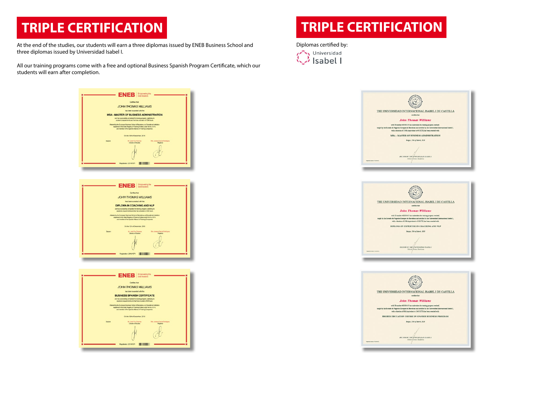At the end of the studies, our students will earn a three diplomas issued by ENEB Business School and three diplomas issued by Universidad Isabel I.

All our training programs come with a free and optional Business Spanish Program Certificate, which our students will earn after completion.







# **TRIPLE CERTIFICATION**

Diplomas certified by:







**RECTOR OF THE UNIVERSIDAD ISABEL.** 

# **TRIPLE CERTIFICATION**